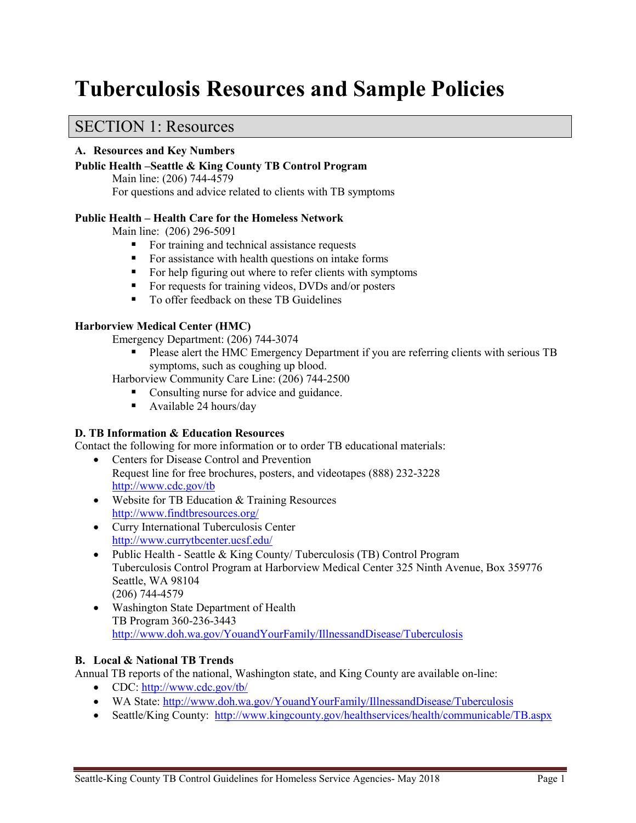# **Tuberculosis Resources and Sample Policies**

### SECTION 1: Resources

#### **A. Resources and Key Numbers**

#### **Public Health –Seattle & King County TB Control Program** Main line: (206) 744-4579

For questions and advice related to clients with TB symptoms

#### **Public Health – Health Care for the Homeless Network**

Main line: (206) 296-5091

- For training and technical assistance requests
- For assistance with health questions on intake forms
- For help figuring out where to refer clients with symptoms
- For requests for training videos, DVDs and/or posters
- To offer feedback on these TB Guidelines

#### **Harborview Medical Center (HMC)**

Emergency Department: (206) 744-3074

 Please alert the HMC Emergency Department if you are referring clients with serious TB symptoms, such as coughing up blood.

Harborview Community Care Line: (206) 744-2500

- Consulting nurse for advice and guidance.
- Available 24 hours/day

#### **D. TB Information & Education Resources**

Contact the following for more information or to order TB educational materials:

- Centers for Disease Control and Prevention Request line for free brochures, posters, and videotapes (888) 232-3228 <http://www.cdc.gov/tb>
- Website for TB Education & Training Resources <http://www.findtbresources.org/>
- Curry International Tuberculosis Center <http://www.currytbcenter.ucsf.edu/>
- Public Health Seattle & King County/ Tuberculosis (TB) Control Program Tuberculosis Control Program at Harborview Medical Center 325 Ninth Avenue, Box 359776 Seattle, WA 98104 (206) 744-4579
- Washington State Department of Health TB Program 360-236-3443 <http://www.doh.wa.gov/YouandYourFamily/IllnessandDisease/Tuberculosis>

#### **B. Local & National TB Trends**

Annual TB reports of the national, Washington state, and King County are available on-line:

- CDC:<http://www.cdc.gov/tb/>
- WA State:<http://www.doh.wa.gov/YouandYourFamily/IllnessandDisease/Tuberculosis>
- Seattle/King County:<http://www.kingcounty.gov/healthservices/health/communicable/TB.aspx>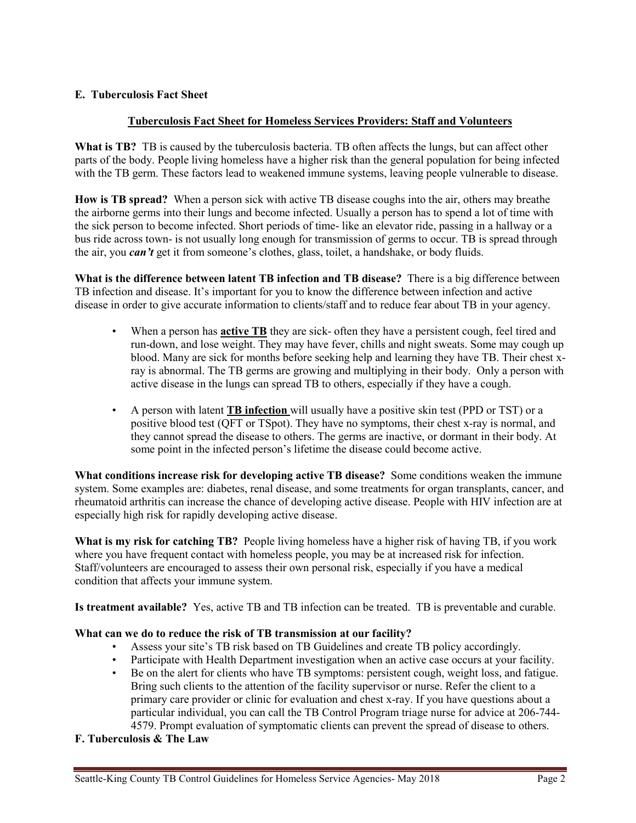#### **E. Tuberculosis Fact Sheet**

#### **Tuberculosis Fact Sheet for Homeless Services Providers: Staff and Volunteers**

**What is TB?** TB is caused by the tuberculosis bacteria. TB often affects the lungs, but can affect other parts of the body. People living homeless have a higher risk than the general population for being infected with the TB germ. These factors lead to weakened immune systems, leaving people vulnerable to disease.

**How is TB spread?** When a person sick with active TB disease coughs into the air, others may breathe the airborne germs into their lungs and become infected. Usually a person has to spend a lot of time with the sick person to become infected. Short periods of time- like an elevator ride, passing in a hallway or a bus ride across town- is not usually long enough for transmission of germs to occur. TB is spread through the air, you *can't* get it from someone's clothes, glass, toilet, a handshake, or body fluids.

**What is the difference between latent TB infection and TB disease?** There is a big difference between TB infection and disease. It's important for you to know the difference between infection and active disease in order to give accurate information to clients/staff and to reduce fear about TB in your agency.

- When a person has **active TB** they are sick- often they have a persistent cough, feel tired and run-down, and lose weight. They may have fever, chills and night sweats. Some may cough up blood. Many are sick for months before seeking help and learning they have TB. Their chest xray is abnormal. The TB germs are growing and multiplying in their body. Only a person with active disease in the lungs can spread TB to others, especially if they have a cough.
- A person with latent **TB infection** will usually have a positive skin test (PPD or TST) or a positive blood test (QFT or TSpot). They have no symptoms, their chest x-ray is normal, and they cannot spread the disease to others. The germs are inactive, or dormant in their body. At some point in the infected person's lifetime the disease could become active.

**What conditions increase risk for developing active TB disease?** Some conditions weaken the immune system. Some examples are: diabetes, renal disease, and some treatments for organ transplants, cancer, and rheumatoid arthritis can increase the chance of developing active disease. People with HIV infection are at especially high risk for rapidly developing active disease.

**What is my risk for catching TB?** People living homeless have a higher risk of having TB, if you work where you have frequent contact with homeless people, you may be at increased risk for infection. Staff/volunteers are encouraged to assess their own personal risk, especially if you have a medical condition that affects your immune system.

**Is treatment available?** Yes, active TB and TB infection can be treated. TB is preventable and curable.

#### **What can we do to reduce the risk of TB transmission at our facility?**

- Assess your site's TB risk based on TB Guidelines and create TB policy accordingly.
- Participate with Health Department investigation when an active case occurs at your facility.
- Be on the alert for clients who have TB symptoms: persistent cough, weight loss, and fatigue. Bring such clients to the attention of the facility supervisor or nurse. Refer the client to a primary care provider or clinic for evaluation and chest x-ray. If you have questions about a particular individual, you can call the TB Control Program triage nurse for advice at 206-744- 4579. Prompt evaluation of symptomatic clients can prevent the spread of disease to others.

#### **F. Tuberculosis & The Law**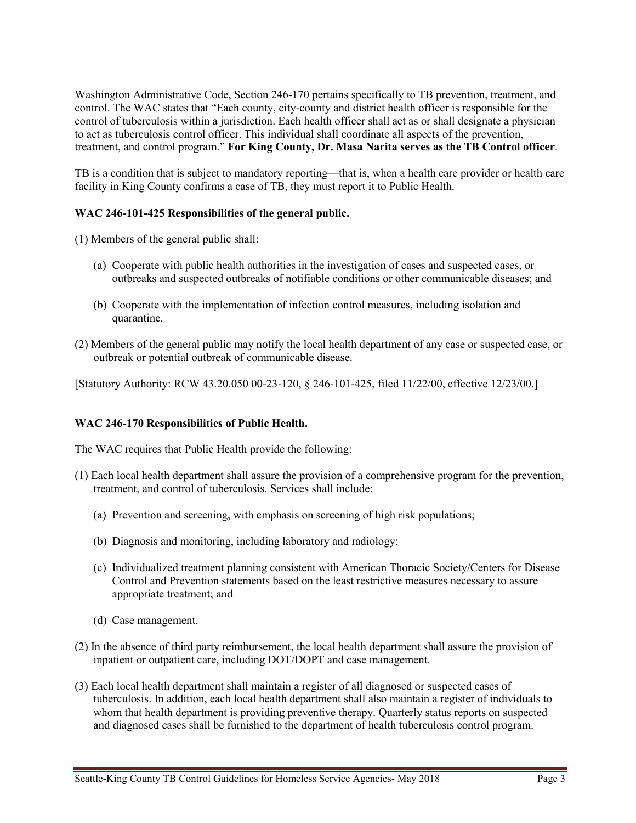Washington Administrative Code, Section 246-170 pertains specifically to TB prevention, treatment, and control. The WAC states that "Each county, city-county and district health officer is responsible for the control of tuberculosis within a jurisdiction. Each health officer shall act as or shall designate a physician to act as tuberculosis control officer. This individual shall coordinate all aspects of the prevention, treatment, and control program." **For King County, Dr. Masa Narita serves as the TB Control officer**.

TB is a condition that is subject to mandatory reporting—that is, when a health care provider or health care facility in King County confirms a case of TB, they must report it to Public Health.

#### **WAC 246-101-425 Responsibilities of the general public.**

(1) Members of the general public shall:

- (a) Cooperate with public health authorities in the investigation of cases and suspected cases, or outbreaks and suspected outbreaks of notifiable conditions or other communicable diseases; and
- (b) Cooperate with the implementation of infection control measures, including isolation and quarantine.
- (2) Members of the general public may notify the local health department of any case or suspected case, or outbreak or potential outbreak of communicable disease.

[Statutory Authority: RCW 43.20.050 00-23-120, § 246-101-425, filed 11/22/00, effective 12/23/00.]

#### **WAC 246-170 Responsibilities of Public Health.**

The WAC requires that Public Health provide the following:

- (1) Each local health department shall assure the provision of a comprehensive program for the prevention, treatment, and control of tuberculosis. Services shall include:
	- (a) Prevention and screening, with emphasis on screening of high risk populations;
	- (b) Diagnosis and monitoring, including laboratory and radiology;
	- (c) Individualized treatment planning consistent with American Thoracic Society/Centers for Disease Control and Prevention statements based on the least restrictive measures necessary to assure appropriate treatment; and
	- (d) Case management.
- (2) In the absence of third party reimbursement, the local health department shall assure the provision of inpatient or outpatient care, including DOT/DOPT and case management.
- (3) Each local health department shall maintain a register of all diagnosed or suspected cases of tuberculosis. In addition, each local health department shall also maintain a register of individuals to whom that health department is providing preventive therapy. Quarterly status reports on suspected and diagnosed cases shall be furnished to the department of health tuberculosis control program.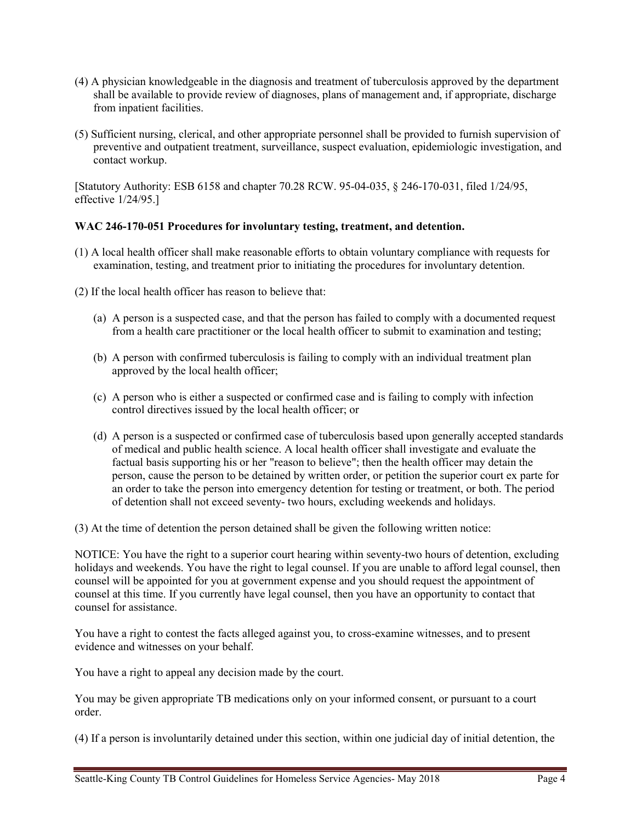- (4) A physician knowledgeable in the diagnosis and treatment of tuberculosis approved by the department shall be available to provide review of diagnoses, plans of management and, if appropriate, discharge from inpatient facilities.
- (5) Sufficient nursing, clerical, and other appropriate personnel shall be provided to furnish supervision of preventive and outpatient treatment, surveillance, suspect evaluation, epidemiologic investigation, and contact workup.

[Statutory Authority: ESB 6158 and chapter 70.28 RCW. 95-04-035, § 246-170-031, filed 1/24/95, effective 1/24/95.]

#### **WAC 246-170-051 Procedures for involuntary testing, treatment, and detention.**

- (1) A local health officer shall make reasonable efforts to obtain voluntary compliance with requests for examination, testing, and treatment prior to initiating the procedures for involuntary detention.
- (2) If the local health officer has reason to believe that:
	- (a) A person is a suspected case, and that the person has failed to comply with a documented request from a health care practitioner or the local health officer to submit to examination and testing;
	- (b) A person with confirmed tuberculosis is failing to comply with an individual treatment plan approved by the local health officer;
	- (c) A person who is either a suspected or confirmed case and is failing to comply with infection control directives issued by the local health officer; or
	- (d) A person is a suspected or confirmed case of tuberculosis based upon generally accepted standards of medical and public health science. A local health officer shall investigate and evaluate the factual basis supporting his or her "reason to believe"; then the health officer may detain the person, cause the person to be detained by written order, or petition the superior court ex parte for an order to take the person into emergency detention for testing or treatment, or both. The period of detention shall not exceed seventy- two hours, excluding weekends and holidays.

(3) At the time of detention the person detained shall be given the following written notice:

NOTICE: You have the right to a superior court hearing within seventy-two hours of detention, excluding holidays and weekends. You have the right to legal counsel. If you are unable to afford legal counsel, then counsel will be appointed for you at government expense and you should request the appointment of counsel at this time. If you currently have legal counsel, then you have an opportunity to contact that counsel for assistance.

You have a right to contest the facts alleged against you, to cross-examine witnesses, and to present evidence and witnesses on your behalf.

You have a right to appeal any decision made by the court.

You may be given appropriate TB medications only on your informed consent, or pursuant to a court order.

(4) If a person is involuntarily detained under this section, within one judicial day of initial detention, the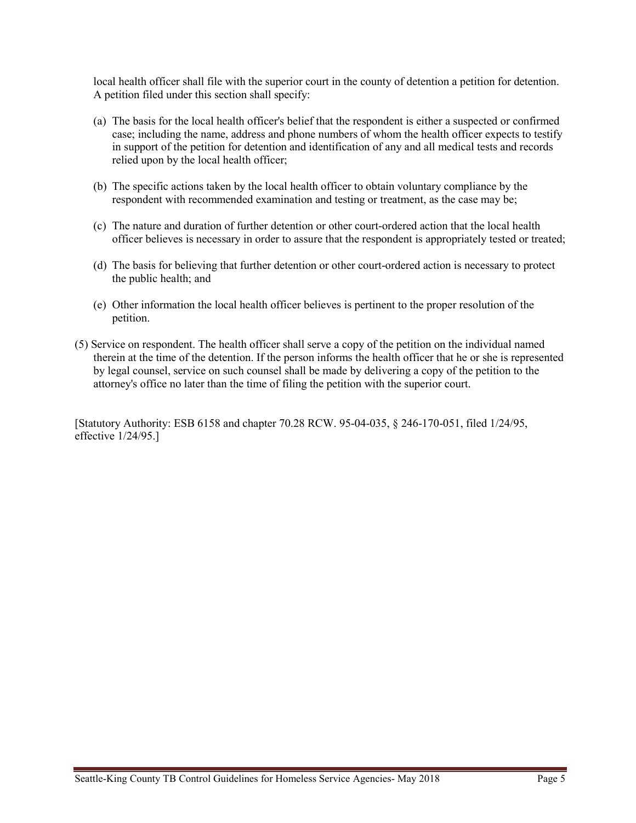local health officer shall file with the superior court in the county of detention a petition for detention. A petition filed under this section shall specify:

- (a) The basis for the local health officer's belief that the respondent is either a suspected or confirmed case; including the name, address and phone numbers of whom the health officer expects to testify in support of the petition for detention and identification of any and all medical tests and records relied upon by the local health officer;
- (b) The specific actions taken by the local health officer to obtain voluntary compliance by the respondent with recommended examination and testing or treatment, as the case may be;
- (c) The nature and duration of further detention or other court-ordered action that the local health officer believes is necessary in order to assure that the respondent is appropriately tested or treated;
- (d) The basis for believing that further detention or other court-ordered action is necessary to protect the public health; and
- (e) Other information the local health officer believes is pertinent to the proper resolution of the petition.
- (5) Service on respondent. The health officer shall serve a copy of the petition on the individual named therein at the time of the detention. If the person informs the health officer that he or she is represented by legal counsel, service on such counsel shall be made by delivering a copy of the petition to the attorney's office no later than the time of filing the petition with the superior court.

[Statutory Authority: ESB 6158 and chapter 70.28 RCW. 95-04-035, § 246-170-051, filed 1/24/95, effective 1/24/95.]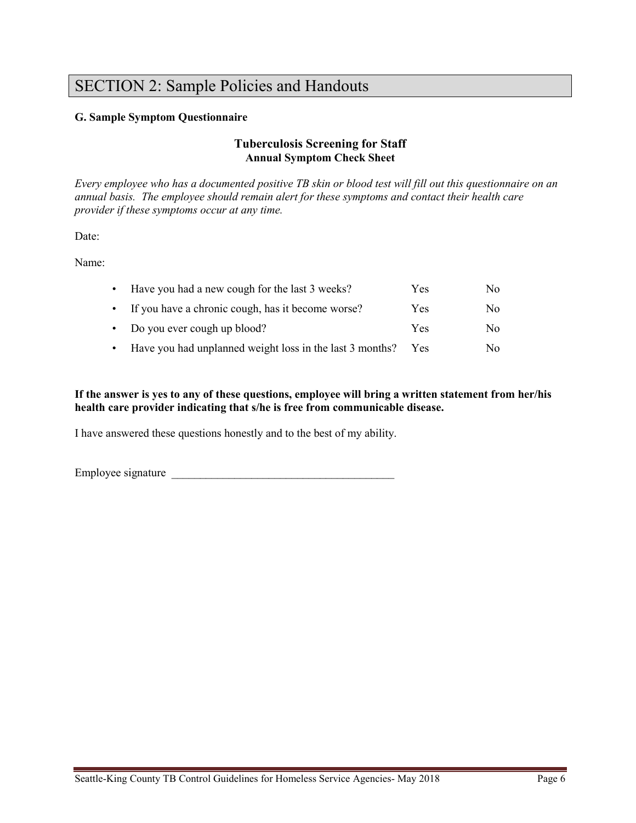# SECTION 2: Sample Policies and Handouts

#### **G. Sample Symptom Questionnaire**

#### **Tuberculosis Screening for Staff Annual Symptom Check Sheet**

*Every employee who has a documented positive TB skin or blood test will fill out this questionnaire on an annual basis. The employee should remain alert for these symptoms and contact their health care provider if these symptoms occur at any time.*

Date:

Name:

| • Have you had a new cough for the last 3 weeks?         | Yes | No. |
|----------------------------------------------------------|-----|-----|
| • If you have a chronic cough, has it become worse?      | Yes | No. |
| $\bullet$ Do you ever cough up blood?                    | Yes | No. |
| Have you had unplanned weight loss in the last 3 months? | Yes | No. |

**If the answer is yes to any of these questions, employee will bring a written statement from her/his health care provider indicating that s/he is free from communicable disease.**

I have answered these questions honestly and to the best of my ability.

Employee signature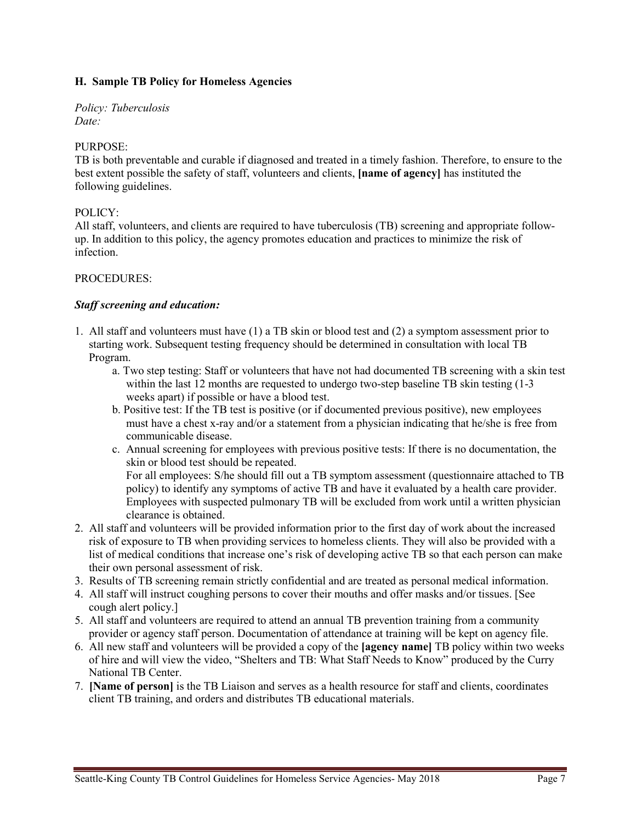#### **H. Sample TB Policy for Homeless Agencies**

*Policy: Tuberculosis Date:*

#### PURPOSE:

TB is both preventable and curable if diagnosed and treated in a timely fashion. Therefore, to ensure to the best extent possible the safety of staff, volunteers and clients, **[name of agency]** has instituted the following guidelines.

#### POLICY:

All staff, volunteers, and clients are required to have tuberculosis (TB) screening and appropriate followup. In addition to this policy, the agency promotes education and practices to minimize the risk of infection.

#### PROCEDURES:

#### *Staff screening and education:*

- 1. All staff and volunteers must have (1) a TB skin or blood test and (2) a symptom assessment prior to starting work. Subsequent testing frequency should be determined in consultation with local TB Program.
	- a. Two step testing: Staff or volunteers that have not had documented TB screening with a skin test within the last 12 months are requested to undergo two-step baseline TB skin testing (1-3 weeks apart) if possible or have a blood test.
	- b. Positive test: If the TB test is positive (or if documented previous positive), new employees must have a chest x-ray and/or a statement from a physician indicating that he/she is free from communicable disease.
	- c. Annual screening for employees with previous positive tests: If there is no documentation, the skin or blood test should be repeated.

For all employees: S/he should fill out a TB symptom assessment (questionnaire attached to TB policy) to identify any symptoms of active TB and have it evaluated by a health care provider. Employees with suspected pulmonary TB will be excluded from work until a written physician clearance is obtained.

- 2. All staff and volunteers will be provided information prior to the first day of work about the increased risk of exposure to TB when providing services to homeless clients. They will also be provided with a list of medical conditions that increase one's risk of developing active TB so that each person can make their own personal assessment of risk.
- 3. Results of TB screening remain strictly confidential and are treated as personal medical information.
- 4. All staff will instruct coughing persons to cover their mouths and offer masks and/or tissues. [See cough alert policy.]
- 5. All staff and volunteers are required to attend an annual TB prevention training from a community provider or agency staff person. Documentation of attendance at training will be kept on agency file.
- 6. All new staff and volunteers will be provided a copy of the **[agency name]** TB policy within two weeks of hire and will view the video, "Shelters and TB: What Staff Needs to Know" produced by the Curry National TB Center.
- 7. **[Name of person]** is the TB Liaison and serves as a health resource for staff and clients, coordinates client TB training, and orders and distributes TB educational materials.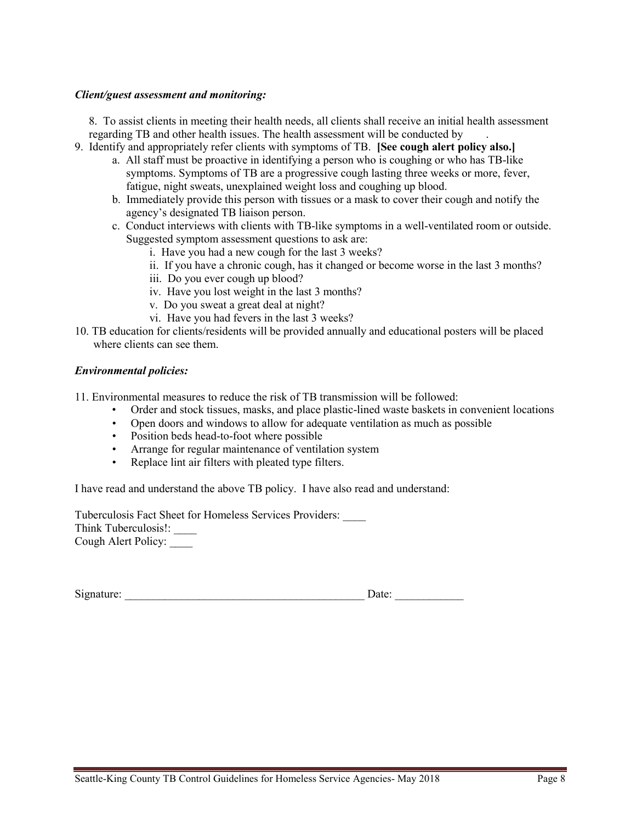#### *Client/guest assessment and monitoring:*

8. To assist clients in meeting their health needs, all clients shall receive an initial health assessment regarding TB and other health issues. The health assessment will be conducted by .

- 9. Identify and appropriately refer clients with symptoms of TB. **[See cough alert policy also.]**
	- a. All staff must be proactive in identifying a person who is coughing or who has TB-like symptoms. Symptoms of TB are a progressive cough lasting three weeks or more, fever, fatigue, night sweats, unexplained weight loss and coughing up blood.
	- b. Immediately provide this person with tissues or a mask to cover their cough and notify the agency's designated TB liaison person.
	- c. Conduct interviews with clients with TB-like symptoms in a well-ventilated room or outside. Suggested symptom assessment questions to ask are:
		- i. Have you had a new cough for the last 3 weeks?
		- ii. If you have a chronic cough, has it changed or become worse in the last 3 months?
		- iii. Do you ever cough up blood?
		- iv. Have you lost weight in the last 3 months?
		- v. Do you sweat a great deal at night?
		- vi. Have you had fevers in the last 3 weeks?
- 10. TB education for clients/residents will be provided annually and educational posters will be placed where clients can see them.

#### *Environmental policies:*

11. Environmental measures to reduce the risk of TB transmission will be followed:

- Order and stock tissues, masks, and place plastic-lined waste baskets in convenient locations
- Open doors and windows to allow for adequate ventilation as much as possible
- Position beds head-to-foot where possible
- Arrange for regular maintenance of ventilation system
- Replace lint air filters with pleated type filters.

I have read and understand the above TB policy. I have also read and understand:

Tuberculosis Fact Sheet for Homeless Services Providers: \_\_\_\_ Think Tuberculosis!: \_\_\_\_ Cough Alert Policy: \_\_\_\_

| Signature: | Date: |  |
|------------|-------|--|
|            |       |  |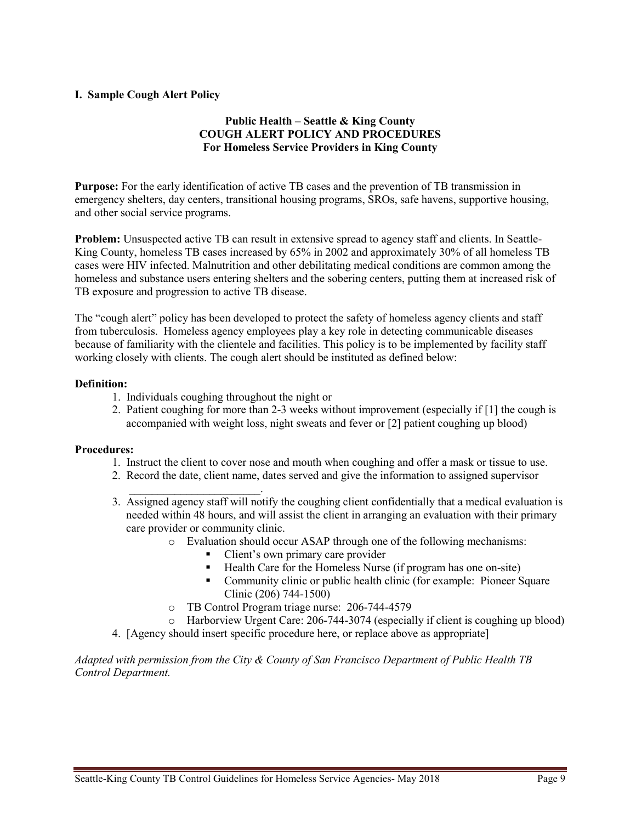#### **I. Sample Cough Alert Policy**

#### **Public Health – Seattle & King County COUGH ALERT POLICY AND PROCEDURES For Homeless Service Providers in King County**

**Purpose:** For the early identification of active TB cases and the prevention of TB transmission in emergency shelters, day centers, transitional housing programs, SROs, safe havens, supportive housing, and other social service programs.

**Problem:** Unsuspected active TB can result in extensive spread to agency staff and clients. In Seattle-King County, homeless TB cases increased by 65% in 2002 and approximately 30% of all homeless TB cases were HIV infected. Malnutrition and other debilitating medical conditions are common among the homeless and substance users entering shelters and the sobering centers, putting them at increased risk of TB exposure and progression to active TB disease.

The "cough alert" policy has been developed to protect the safety of homeless agency clients and staff from tuberculosis. Homeless agency employees play a key role in detecting communicable diseases because of familiarity with the clientele and facilities. This policy is to be implemented by facility staff working closely with clients. The cough alert should be instituted as defined below:

#### **Definition:**

- 1. Individuals coughing throughout the night or
- 2. Patient coughing for more than 2-3 weeks without improvement (especially if [1] the cough is accompanied with weight loss, night sweats and fever or [2] patient coughing up blood)

#### **Procedures:**

- 1. Instruct the client to cover nose and mouth when coughing and offer a mask or tissue to use.
- 2. Record the date, client name, dates served and give the information to assigned supervisor
- \_\_\_\_\_\_\_\_\_\_\_\_\_\_\_\_\_\_\_\_\_\_\_. 3. Assigned agency staff will notify the coughing client confidentially that a medical evaluation is needed within 48 hours, and will assist the client in arranging an evaluation with their primary care provider or community clinic.
	- o Evaluation should occur ASAP through one of the following mechanisms:
		- Client's own primary care provider
		- Health Care for the Homeless Nurse (if program has one on-site)
		- Community clinic or public health clinic (for example: Pioneer Square Clinic (206) 744-1500)
	- o TB Control Program triage nurse: 206-744-4579
	- o Harborview Urgent Care: 206-744-3074 (especially if client is coughing up blood)
- 4. [Agency should insert specific procedure here, or replace above as appropriate]

*Adapted with permission from the City & County of San Francisco Department of Public Health TB Control Department.*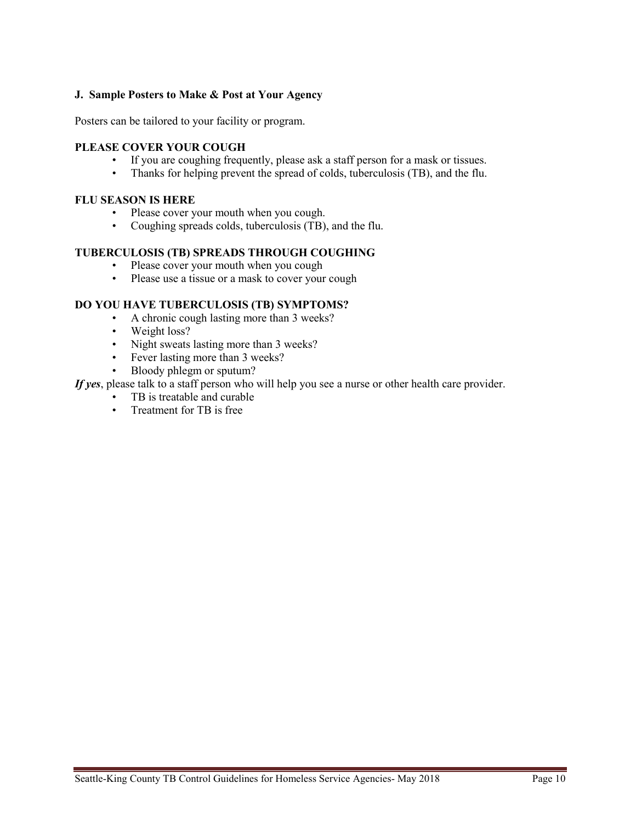#### **J. Sample Posters to Make & Post at Your Agency**

Posters can be tailored to your facility or program.

#### **PLEASE COVER YOUR COUGH**

- If you are coughing frequently, please ask a staff person for a mask or tissues.
- Thanks for helping prevent the spread of colds, tuberculosis (TB), and the flu.

#### **FLU SEASON IS HERE**

- Please cover your mouth when you cough.
- Coughing spreads colds, tuberculosis (TB), and the flu.

#### **TUBERCULOSIS (TB) SPREADS THROUGH COUGHING**

- Please cover your mouth when you cough
- Please use a tissue or a mask to cover your cough

#### **DO YOU HAVE TUBERCULOSIS (TB) SYMPTOMS?**

- A chronic cough lasting more than 3 weeks?
- Weight loss?
- Night sweats lasting more than 3 weeks?
- Fever lasting more than 3 weeks?
- Bloody phlegm or sputum?

*If yes*, please talk to a staff person who will help you see a nurse or other health care provider.

- TB is treatable and curable
- Treatment for TB is free